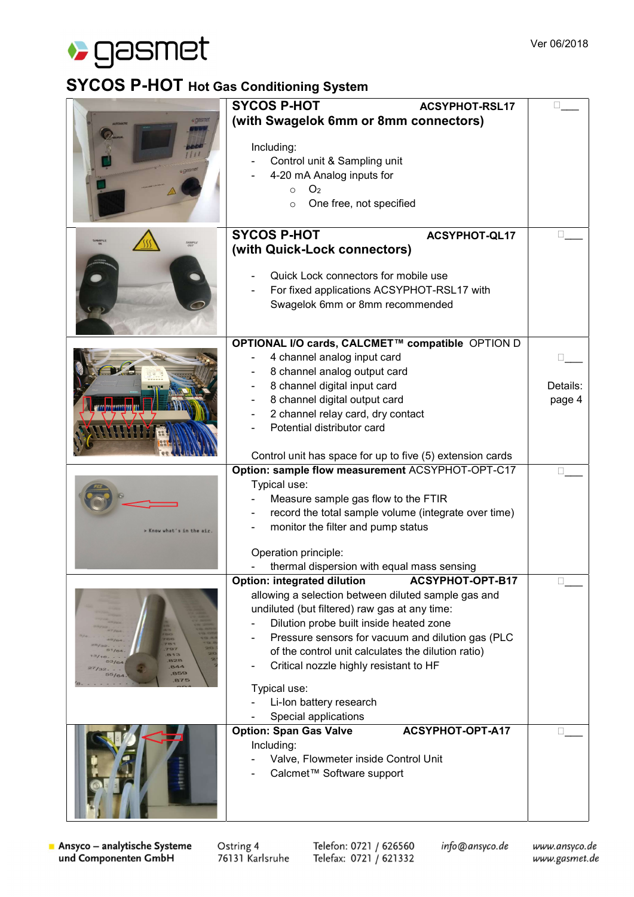

## SYCOS P-HOT Hot Gas Conditioning System

|                           | <b>SYCOS P-HOT</b><br><b>ACSYPHOT-RSL17</b>                                                          |          |
|---------------------------|------------------------------------------------------------------------------------------------------|----------|
|                           | (with Swagelok 6mm or 8mm connectors)                                                                |          |
|                           |                                                                                                      |          |
|                           | Including:                                                                                           |          |
|                           | Control unit & Sampling unit                                                                         |          |
|                           | 4-20 mA Analog inputs for                                                                            |          |
|                           | O <sub>2</sub><br>$\circ$                                                                            |          |
|                           | One free, not specified<br>$\Omega$                                                                  |          |
|                           |                                                                                                      |          |
|                           | <b>SYCOS P-HOT</b><br><b>ACSYPHOT-QL17</b>                                                           |          |
|                           | (with Quick-Lock connectors)                                                                         |          |
|                           |                                                                                                      |          |
|                           | Quick Lock connectors for mobile use                                                                 |          |
|                           | For fixed applications ACSYPHOT-RSL17 with                                                           |          |
|                           | Swagelok 6mm or 8mm recommended                                                                      |          |
|                           |                                                                                                      |          |
|                           | OPTIONAL I/O cards, CALCMET™ compatible OPTION D                                                     |          |
|                           | 4 channel analog input card                                                                          |          |
|                           | 8 channel analog output card                                                                         |          |
|                           | 8 channel digital input card                                                                         | Details: |
|                           | 8 channel digital output card                                                                        | page 4   |
|                           | 2 channel relay card, dry contact                                                                    |          |
|                           | Potential distributor card                                                                           |          |
|                           |                                                                                                      |          |
|                           | Control unit has space for up to five (5) extension cards                                            |          |
|                           | Option: sample flow measurement ACSYPHOT-OPT-C17                                                     |          |
|                           | Typical use:                                                                                         |          |
|                           | Measure sample gas flow to the FTIR                                                                  |          |
|                           | record the total sample volume (integrate over time)                                                 |          |
| > Know what's in the air. | monitor the filter and pump status                                                                   |          |
|                           |                                                                                                      |          |
|                           | Operation principle:                                                                                 |          |
|                           | thermal dispersion with equal mass sensing<br>ACSYPHOT-OPT-B17                                       |          |
|                           | <b>Option: integrated dilution</b>                                                                   |          |
| 828<br>844                | allowing a selection between diluted sample gas and<br>undiluted (but filtered) raw gas at any time: |          |
|                           | Dilution probe built inside heated zone                                                              |          |
|                           | Pressure sensors for vacuum and dilution gas (PLC                                                    |          |
|                           | of the control unit calculates the dilution ratio)                                                   |          |
|                           | Critical nozzle highly resistant to HF                                                               |          |
| 859                       |                                                                                                      |          |
|                           | Typical use:                                                                                         |          |
|                           | Li-Ion battery research                                                                              |          |
|                           | Special applications                                                                                 |          |
|                           | ACSYPHOT-OPT-A17<br><b>Option: Span Gas Valve</b>                                                    |          |
|                           | Including:<br>Valve, Flowmeter inside Control Unit                                                   |          |
|                           | Calcmet™ Software support                                                                            |          |
|                           |                                                                                                      |          |
|                           |                                                                                                      |          |
|                           |                                                                                                      |          |

Ansyco - analytische Systeme und Componenten GmbH

Ostring 4 76131 Karlsruhe

Telefon: 0721 / 626560 Telefax: 0721 / 621332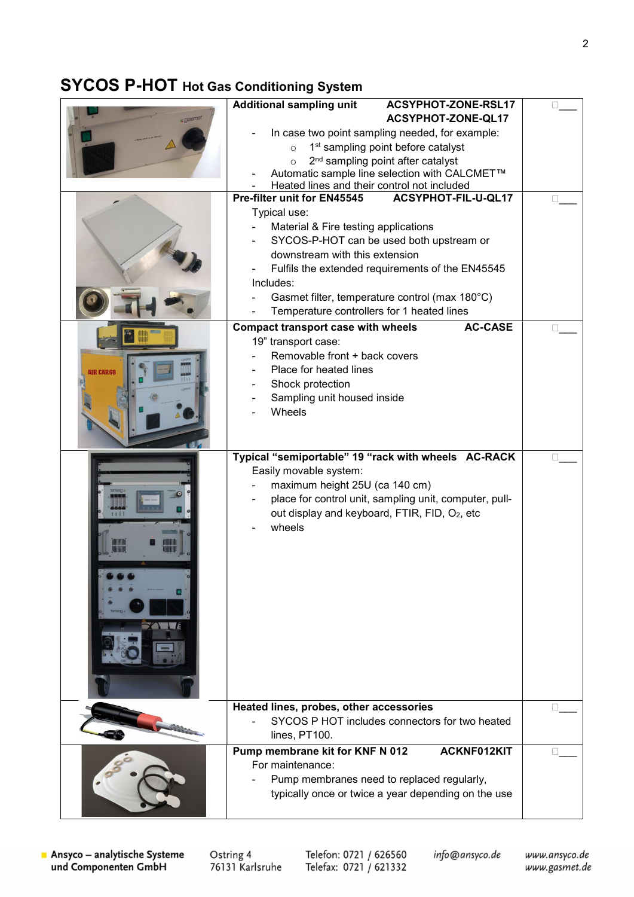## SYCOS P-HOT Hot Gas Conditioning System

|           | <b>Additional sampling unit</b><br>ACSYPHOT-ZONE-RSL17      |        |
|-----------|-------------------------------------------------------------|--------|
|           | ACSYPHOT-ZONE-QL17                                          |        |
|           | In case two point sampling needed, for example:             |        |
|           | 1 <sup>st</sup> sampling point before catalyst<br>$\circ$   |        |
|           | 2 <sup>nd</sup> sampling point after catalyst<br>$\circ$    |        |
|           | Automatic sample line selection with CALCMET™               |        |
|           | Heated lines and their control not included                 |        |
|           | Pre-filter unit for EN45545<br>ACSYPHOT-FIL-U-QL17          |        |
|           | Typical use:                                                |        |
|           | Material & Fire testing applications                        |        |
|           | SYCOS-P-HOT can be used both upstream or                    |        |
|           | downstream with this extension                              |        |
|           | Fulfils the extended requirements of the EN45545            |        |
|           | Includes:                                                   |        |
|           | Gasmet filter, temperature control (max 180°C)              |        |
|           | Temperature controllers for 1 heated lines                  |        |
|           | <b>AC-CASE</b><br><b>Compact transport case with wheels</b> |        |
|           | 19" transport case:                                         |        |
|           | Removable front + back covers                               |        |
| AIR CARGO | Place for heated lines                                      |        |
|           | Shock protection                                            |        |
|           | Sampling unit housed inside                                 |        |
|           | Wheels                                                      |        |
|           |                                                             |        |
|           |                                                             |        |
|           | Typical "semiportable" 19 "rack with wheels AC-RACK         | $\Box$ |
|           | Easily movable system:                                      |        |
|           | maximum height 25U (ca 140 cm)                              |        |
|           | place for control unit, sampling unit, computer, pull-      |        |
|           | out display and keyboard, FTIR, FID, O2, etc                |        |
|           | wheels                                                      |        |
|           |                                                             |        |
|           |                                                             |        |
|           |                                                             |        |
|           |                                                             |        |
|           |                                                             |        |
|           |                                                             |        |
|           |                                                             |        |
|           |                                                             |        |
|           |                                                             |        |
|           |                                                             |        |
|           |                                                             |        |
|           | Heated lines, probes, other accessories                     |        |
|           | SYCOS P HOT includes connectors for two heated              |        |
|           | lines, PT100.                                               |        |
|           | Pump membrane kit for KNF N 012<br>ACKNF012KIT              |        |
|           | For maintenance:                                            |        |
|           | Pump membranes need to replaced regularly,                  |        |
|           | typically once or twice a year depending on the use         |        |
|           |                                                             |        |
|           |                                                             |        |

Ostring 4<br>76131 Karlsruhe

Telefon: 0721 / 626560<br>Telefax: 0721 / 621332

info@ansyco.de

www.ansyco.de www.gasmet.de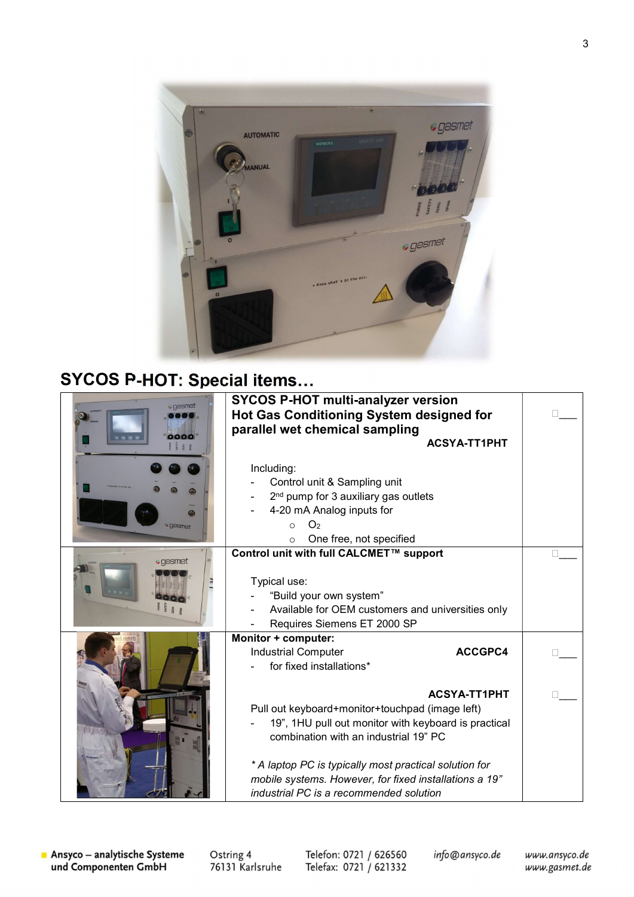

## SYCOS P-HOT: Special items…

| <b>.</b> gasmet<br>0000<br><b>gasmet</b> | <b>SYCOS P-HOT multi-analyzer version</b><br>Hot Gas Conditioning System designed for<br>parallel wet chemical sampling<br><b>ACSYA-TT1PHT</b><br>Including:<br>Control unit & Sampling unit<br>2 <sup>nd</sup> pump for 3 auxiliary gas outlets<br>4-20 mA Analog inputs for<br>O <sub>2</sub><br>$\circ$<br>One free, not specified<br>$\circ$ |  |
|------------------------------------------|--------------------------------------------------------------------------------------------------------------------------------------------------------------------------------------------------------------------------------------------------------------------------------------------------------------------------------------------------|--|
| · gasmet                                 | Control unit with full CALCMET™ support<br>Typical use:<br>"Build your own system"<br>Available for OEM customers and universities only<br>Requires Siemens ET 2000 SP                                                                                                                                                                           |  |
|                                          | Monitor + computer:<br><b>Industrial Computer</b><br>ACCGPC4<br>for fixed installations*                                                                                                                                                                                                                                                         |  |
|                                          | <b>ACSYA-TT1PHT</b><br>Pull out keyboard+monitor+touchpad (image left)<br>19", 1HU pull out monitor with keyboard is practical<br>combination with an industrial 19" PC<br>* A laptop PC is typically most practical solution for<br>mobile systems. However, for fixed installations a 19"<br>industrial PC is a recommended solution           |  |

Ostring 4<br>76131 Karlsruhe

Telefon: 0721 / 626560<br>Telefax: 0721 / 621332